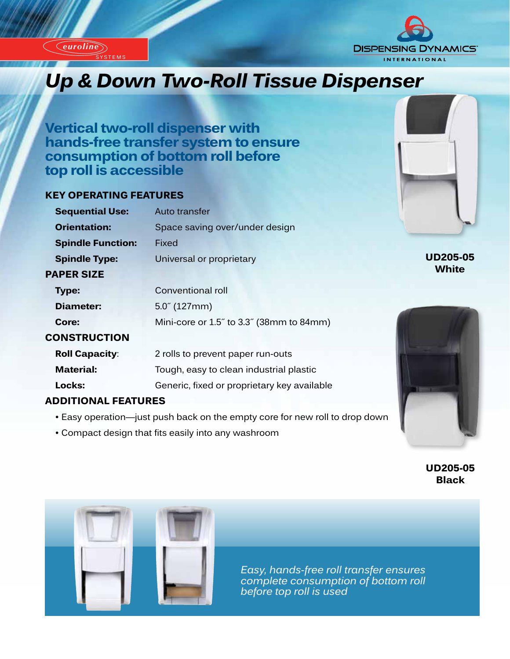*euroline*

*euroline*

**STEM** 



# *Up & Down Two-Roll Tissue Dispenser*

**Vertical two-roll dispenser with hands-free transfer system to ensure consumption of bottom roll before top roll is accessible**

## **KEY OPERATING FEATURES**

| <b>Sequential Use:</b>   | Auto transfer                               |
|--------------------------|---------------------------------------------|
| <b>Orientation:</b>      | Space saving over/under design              |
| <b>Spindle Function:</b> | Fixed                                       |
| <b>Spindle Type:</b>     | Universal or proprietary                    |
| <b>PAPER SIZE</b>        |                                             |
| Type:                    | Conventional roll                           |
| Diameter:                | $5.0^{7}$ (127mm)                           |
| Core:                    | Mini-core or 1.5" to 3.3" (38mm to 84mm)    |
| <b>CONSTRUCTION</b>      |                                             |
| <b>Roll Capacity:</b>    | 2 rolls to prevent paper run-outs           |
| <b>Material:</b>         | Tough, easy to clean industrial plastic     |
| Locks:                   | Generic, fixed or proprietary key available |
|                          |                                             |

## **ADDITIONAL FEATURES**

- Easy operation—just push back on the empty core for new roll to drop down
- Compact design that fits easily into any washroom



**UD205-05 White**



**UD205-05 Black**



*Easy, hands-free roll transfer ensures complete consumption of bottom roll before top roll is used*